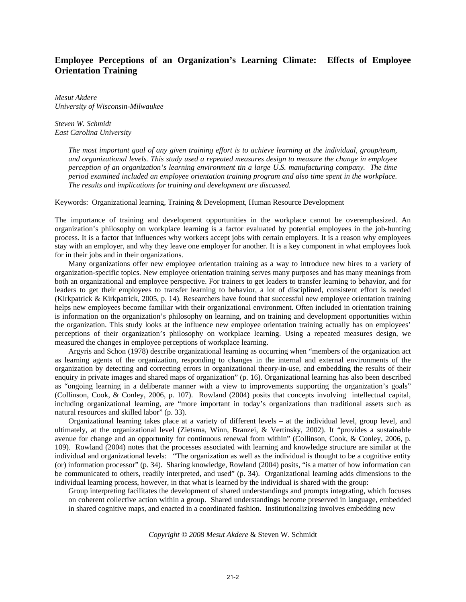# **Employee Perceptions of an Organization's Learning Climate: Effects of Employee Orientation Training**

*Mesut Akdere University of Wisconsin-Milwaukee* 

*Steven W. Schmidt East Carolina University* 

> *The most important goal of any given training effort is to achieve learning at the individual, group/team, and organizational levels. This study used a repeated measures design to measure the change in employee perception of an organization's learning environment tin a large U.S. manufacturing company. The time period examined included an employee orientation training program and also time spent in the workplace. The results and implications for training and development are discussed.*

Keywords: Organizational learning, Training & Development, Human Resource Development

The importance of training and development opportunities in the workplace cannot be overemphasized. An organization's philosophy on workplace learning is a factor evaluated by potential employees in the job-hunting process. It is a factor that influences why workers accept jobs with certain employers. It is a reason why employees stay with an employer, and why they leave one employer for another. It is a key component in what employees look for in their jobs and in their organizations.

Many organizations offer new employee orientation training as a way to introduce new hires to a variety of organization-specific topics. New employee orientation training serves many purposes and has many meanings from both an organizational and employee perspective. For trainers to get leaders to transfer learning to behavior, and for leaders to get their employees to transfer learning to behavior, a lot of disciplined, consistent effort is needed (Kirkpatrick & Kirkpatrick, 2005, p. 14). Researchers have found that successful new employee orientation training helps new employees become familiar with their organizational environment. Often included in orientation training is information on the organization's philosophy on learning, and on training and development opportunities within the organization. This study looks at the influence new employee orientation training actually has on employees' perceptions of their organization's philosophy on workplace learning. Using a repeated measures design, we measured the changes in employee perceptions of workplace learning.

Argyris and Schon (1978) describe organizational learning as occurring when "members of the organization act as learning agents of the organization, responding to changes in the internal and external environments of the organization by detecting and correcting errors in organizational theory-in-use, and embedding the results of their enquiry in private images and shared maps of organization" (p. 16). Organizational learning has also been described as "ongoing learning in a deliberate manner with a view to improvements supporting the organization's goals" (Collinson, Cook, & Conley, 2006, p. 107). Rowland (2004) posits that concepts involving intellectual capital, including organizational learning, are "more important in today's organizations than traditional assets such as natural resources and skilled labor" (p. 33).

Organizational learning takes place at a variety of different levels – at the individual level, group level, and ultimately, at the organizational level (Zietsma, Winn, Branzei, & Vertinsky, 2002). It "provides a sustainable avenue for change and an opportunity for continuous renewal from within" (Collinson, Cook, & Conley, 2006, p. 109). Rowland (2004) notes that the processes associated with learning and knowledge structure are similar at the individual and organizational levels: "The organization as well as the individual is thought to be a cognitive entity (or) information processor" (p. 34). Sharing knowledge, Rowland (2004) posits, "is a matter of how information can be communicated to others, readily interpreted, and used" (p. 34). Organizational learning adds dimensions to the individual learning process, however, in that what is learned by the individual is shared with the group:

Group interpreting facilitates the development of shared understandings and prompts integrating, which focuses on coherent collective action within a group. Shared understandings become preserved in language, embedded in shared cognitive maps, and enacted in a coordinated fashion. Institutionalizing involves embedding new

*Copyright © 2008 Mesut Akdere* & Steven W. Schmidt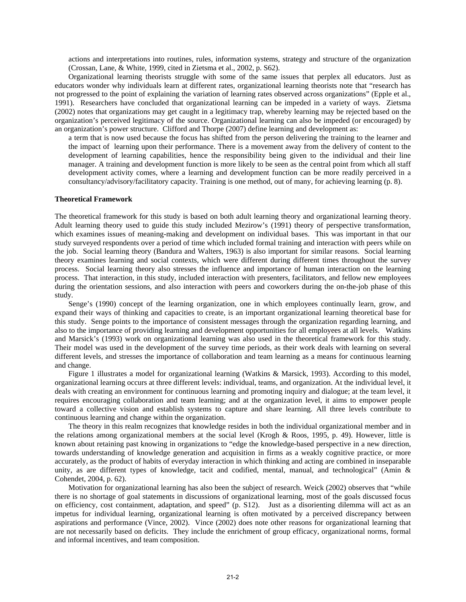actions and interpretations into routines, rules, information systems, strategy and structure of the organization (Crossan, Lane, & White, 1999, cited in Zietsma et al., 2002, p. S62).

Organizational learning theorists struggle with some of the same issues that perplex all educators. Just as educators wonder why individuals learn at different rates, organizational learning theorists note that "research has not progressed to the point of explaining the variation of learning rates observed across organizations" (Epple et al., 1991). Researchers have concluded that organizational learning can be impeded in a variety of ways. Zietsma (2002) notes that organizations may get caught in a legitimacy trap, whereby learning may be rejected based on the organization's perceived legitimacy of the source. Organizational learning can also be impeded (or encouraged) by an organization's power structure. Clifford and Thorpe (2007) define learning and development as:

a term that is now used because the focus has shifted from the person delivering the training to the learner and the impact of learning upon their performance. There is a movement away from the delivery of content to the development of learning capabilities, hence the responsibility being given to the individual and their line manager. A training and development function is more likely to be seen as the central point from which all staff development activity comes, where a learning and development function can be more readily perceived in a consultancy/advisory/facilitatory capacity. Training is one method, out of many, for achieving learning (p. 8).

#### **Theoretical Framework**

The theoretical framework for this study is based on both adult learning theory and organizational learning theory. Adult learning theory used to guide this study included Mezirow's (1991) theory of perspective transformation, which examines issues of meaning-making and development on individual bases. This was important in that our study surveyed respondents over a period of time which included formal training and interaction with peers while on the job. Social learning theory (Bandura and Walters, 1963) is also important for similar reasons. Social learning theory examines learning and social contexts, which were different during different times throughout the survey process. Social learning theory also stresses the influence and importance of human interaction on the learning process. That interaction, in this study, included interaction with presenters, facilitators, and fellow new employees during the orientation sessions, and also interaction with peers and coworkers during the on-the-job phase of this study.

Senge's (1990) concept of the learning organization, one in which employees continually learn, grow, and expand their ways of thinking and capacities to create, is an important organizational learning theoretical base for this study. Senge points to the importance of consistent messages through the organization regarding learning, and also to the importance of providing learning and development opportunities for all employees at all levels. Watkins and Marsick's (1993) work on organizational learning was also used in the theoretical framework for this study. Their model was used in the development of the survey time periods, as their work deals with learning on several different levels, and stresses the importance of collaboration and team learning as a means for continuous learning and change.

Figure 1 illustrates a model for organizational learning (Watkins & Marsick, 1993). According to this model, organizational learning occurs at three different levels: individual, teams, and organization. At the individual level, it deals with creating an environment for continuous learning and promoting inquiry and dialogue; at the team level, it requires encouraging collaboration and team learning; and at the organization level, it aims to empower people toward a collective vision and establish systems to capture and share learning. All three levels contribute to continuous learning and change within the organization.

The theory in this realm recognizes that knowledge resides in both the individual organizational member and in the relations among organizational members at the social level (Krogh & Roos, 1995, p. 49). However, little is known about retaining past knowing in organizations to "edge the knowledge-based perspective in a new direction, towards understanding of knowledge generation and acquisition in firms as a weakly cognitive practice, or more accurately, as the product of habits of everyday interaction in which thinking and acting are combined in inseparable unity, as are different types of knowledge, tacit and codified, mental, manual, and technological" (Amin & Cohendet, 2004, p. 62).

Motivation for organizational learning has also been the subject of research. Weick (2002) observes that "while there is no shortage of goal statements in discussions of organizational learning, most of the goals discussed focus on efficiency, cost containment, adaptation, and speed" (p. S12). Just as a disorienting dilemma will act as an impetus for individual learning, organizational learning is often motivated by a perceived discrepancy between aspirations and performance (Vince, 2002). Vince (2002) does note other reasons for organizational learning that are not necessarily based on deficits. They include the enrichment of group efficacy, organizational norms, formal and informal incentives, and team composition.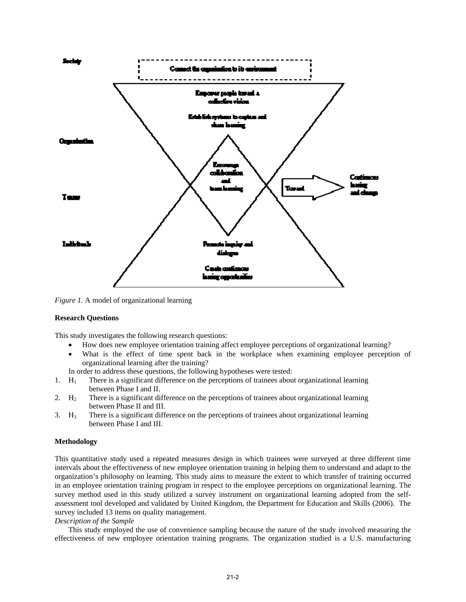

*Figure 1.* A model of organizational learning

## **Research Questions**

This study investigates the following research questions:

- How does new employee orientation training affect employee perceptions of organizational learning?
- What is the effect of time spent back in the workplace when examining employee perception of organizational learning after the training?
- In order to address these questions, the following hypotheses were tested:
- 1.  $H_1$  There is a significant difference on the perceptions of trainees about organizational learning between Phase I and II.
- 2. H<sub>2</sub> There is a significant difference on the perceptions of trainees about organizational learning between Phase II and III.
- 3.  $H_3$  There is a significant difference on the perceptions of trainees about organizational learning between Phase I and III.

## **Methodology**

This quantitative study used a repeated measures design in which trainees were surveyed at three different time intervals about the effectiveness of new employee orientation training in helping them to understand and adapt to the organization's philosophy on learning. This study aims to measure the extent to which transfer of training occurred in an employee orientation training program in respect to the employee perceptions on organizational learning. The survey method used in this study utilized a survey instrument on organizational learning adopted from the selfassessment tool developed and validated by United Kingdom, the Department for Education and Skills (2006). The survey included 13 items on quality management.

## *Description of the Sample*

This study employed the use of convenience sampling because the nature of the study involved measuring the effectiveness of new employee orientation training programs. The organization studied is a U.S. manufacturing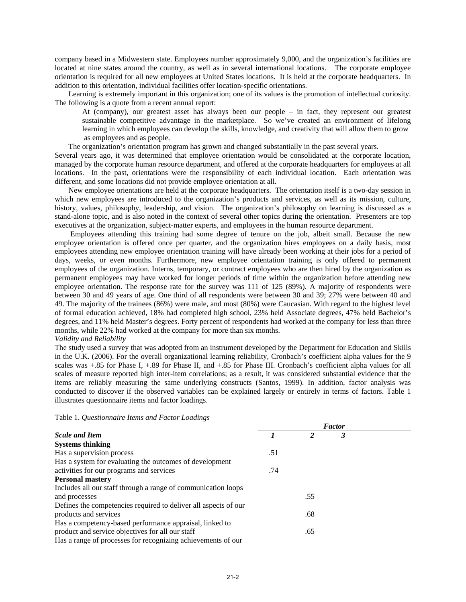company based in a Midwestern state. Employees number approximately 9,000, and the organization's facilities are located at nine states around the country, as well as in several international locations. The corporate employee orientation is required for all new employees at United States locations. It is held at the corporate headquarters. In addition to this orientation, individual facilities offer location-specific orientations.

Learning is extremely important in this organization; one of its values is the promotion of intellectual curiosity. The following is a quote from a recent annual report:

At (company), our greatest asset has always been our people – in fact, they represent our greatest sustainable competitive advantage in the marketplace. So we've created an environment of lifelong learning in which employees can develop the skills, knowledge, and creativity that will allow them to grow as employees and as people.

The organization's orientation program has grown and changed substantially in the past several years.

Several years ago, it was determined that employee orientation would be consolidated at the corporate location, managed by the corporate human resource department, and offered at the corporate headquarters for employees at all locations. In the past, orientations were the responsibility of each individual location. Each orientation was different, and some locations did not provide employee orientation at all.

New employee orientations are held at the corporate headquarters. The orientation itself is a two-day session in which new employees are introduced to the organization's products and services, as well as its mission, culture, history, values, philosophy, leadership, and vision. The organization's philosophy on learning is discussed as a stand-alone topic, and is also noted in the context of several other topics during the orientation. Presenters are top executives at the organization, subject-matter experts, and employees in the human resource department.

 Employees attending this training had some degree of tenure on the job, albeit small. Because the new employee orientation is offered once per quarter, and the organization hires employees on a daily basis, most employees attending new employee orientation training will have already been working at their jobs for a period of days, weeks, or even months. Furthermore, new employee orientation training is only offered to permanent employees of the organization. Interns, temporary, or contract employees who are then hired by the organization as permanent employees may have worked for longer periods of time within the organization before attending new employee orientation. The response rate for the survey was 111 of 125 (89%). A majority of respondents were between 30 and 49 years of age. One third of all respondents were between 30 and 39; 27% were between 40 and 49. The majority of the trainees (86%) were male, and most (80%) were Caucasian. With regard to the highest level of formal education achieved, 18% had completed high school, 23% held Associate degrees, 47% held Bachelor's degrees, and 11% held Master's degrees. Forty percent of respondents had worked at the company for less than three months, while 22% had worked at the company for more than six months.

*Validity and Reliability* 

The study used a survey that was adopted from an instrument developed by the Department for Education and Skills in the U.K. (2006). For the overall organizational learning reliability, Cronbach's coefficient alpha values for the 9 scales was +.85 for Phase I, +.89 for Phase II, and +.85 for Phase III. Cronbach's coefficient alpha values for all scales of measure reported high inter-item correlations; as a result, it was considered substantial evidence that the items are reliably measuring the same underlying constructs (Santos, 1999). In addition, factor analysis was conducted to discover if the observed variables can be explained largely or entirely in terms of factors. Table 1 illustrates questionnaire items and factor loadings.

Table 1. *Questionnaire Items and Factor Loadings* 

|                                                                 | <b>Factor</b> |                |   |  |
|-----------------------------------------------------------------|---------------|----------------|---|--|
| <b>Scale and Item</b>                                           |               | $\mathfrak{p}$ | 3 |  |
| <b>Systems thinking</b>                                         |               |                |   |  |
| Has a supervision process                                       | .51           |                |   |  |
| Has a system for evaluating the outcomes of development         |               |                |   |  |
| activities for our programs and services                        | .74           |                |   |  |
| <b>Personal mastery</b>                                         |               |                |   |  |
| Includes all our staff through a range of communication loops   |               |                |   |  |
| and processes                                                   |               | .55            |   |  |
| Defines the competencies required to deliver all aspects of our |               |                |   |  |
| products and services                                           |               | .68            |   |  |
| Has a competency-based performance appraisal, linked to         |               |                |   |  |
| product and service objectives for all our staff                |               | .65            |   |  |
| Has a range of processes for recognizing achievements of our    |               |                |   |  |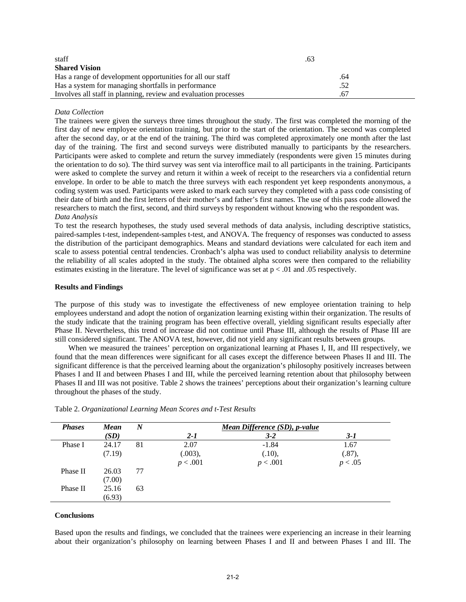| staff                                                           | .63 |  |
|-----------------------------------------------------------------|-----|--|
| <b>Shared Vision</b>                                            |     |  |
| Has a range of development opportunities for all our staff      | .64 |  |
| Has a system for managing shortfalls in performance             | .52 |  |
| Involves all staff in planning, review and evaluation processes | .67 |  |

## *Data Collection*

The trainees were given the surveys three times throughout the study. The first was completed the morning of the first day of new employee orientation training, but prior to the start of the orientation. The second was completed after the second day, or at the end of the training. The third was completed approximately one month after the last day of the training. The first and second surveys were distributed manually to participants by the researchers. Participants were asked to complete and return the survey immediately (respondents were given 15 minutes during the orientation to do so). The third survey was sent via interoffice mail to all participants in the training. Participants were asked to complete the survey and return it within a week of receipt to the researchers via a confidential return envelope. In order to be able to match the three surveys with each respondent yet keep respondents anonymous, a coding system was used. Participants were asked to mark each survey they completed with a pass code consisting of their date of birth and the first letters of their mother's and father's first names. The use of this pass code allowed the researchers to match the first, second, and third surveys by respondent without knowing who the respondent was. *Data Analysis*

To test the research hypotheses, the study used several methods of data analysis, including descriptive statistics, paired-samples t-test, independent-samples t-test, and ANOVA. The frequency of responses was conducted to assess the distribution of the participant demographics. Means and standard deviations were calculated for each item and scale to assess potential central tendencies. Cronbach's alpha was used to conduct reliability analysis to determine the reliability of all scales adopted in the study. The obtained alpha scores were then compared to the reliability estimates existing in the literature. The level of significance was set at  $p < .01$  and .05 respectively.

#### **Results and Findings**

The purpose of this study was to investigate the effectiveness of new employee orientation training to help employees understand and adopt the notion of organization learning existing within their organization. The results of the study indicate that the training program has been effective overall, yielding significant results especially after Phase II. Nevertheless, this trend of increase did not continue until Phase III, although the results of Phase III are still considered significant. The ANOVA test, however, did not yield any significant results between groups.

When we measured the trainees' perception on organizational learning at Phases I, II, and III respectively, we found that the mean differences were significant for all cases except the difference between Phases II and III. The significant difference is that the perceived learning about the organization's philosophy positively increases between Phases I and II and between Phases I and III, while the perceived learning retention about that philosophy between Phases II and III was not positive. Table 2 shows the trainees' perceptions about their organization's learning culture throughout the phases of the study.

| <b>Phases</b> | <b>Mean</b> | $\boldsymbol{N}$ | Mean Difference (SD), p-value |          |         |  |  |
|---------------|-------------|------------------|-------------------------------|----------|---------|--|--|
|               | (SD)        |                  | $2 - 1$                       | $3 - 2$  | 3-1     |  |  |
| Phase I       | 24.17       | 81               | 2.07                          | $-1.84$  | 1.67    |  |  |
|               | (7.19)      |                  | (.003),                       | (.10),   | (.87),  |  |  |
|               |             |                  | p < .001                      | p < .001 | p < .05 |  |  |
| Phase II      | 26.03       | 77               |                               |          |         |  |  |
|               | (7.00)      |                  |                               |          |         |  |  |
| Phase II      | 25.16       | 63               |                               |          |         |  |  |
|               | (6.93)      |                  |                               |          |         |  |  |

Table 2. *Organizational Learning Mean Scores and t-Test Results*

### **Conclusions**

Based upon the results and findings, we concluded that the trainees were experiencing an increase in their learning about their organization's philosophy on learning between Phases I and II and between Phases I and III. The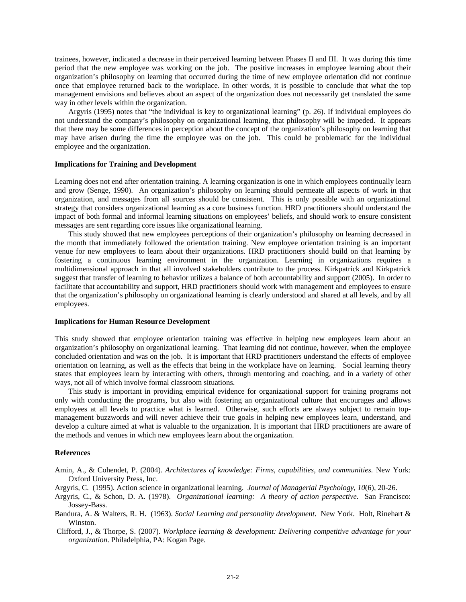trainees, however, indicated a decrease in their perceived learning between Phases II and III. It was during this time period that the new employee was working on the job. The positive increases in employee learning about their organization's philosophy on learning that occurred during the time of new employee orientation did not continue once that employee returned back to the workplace. In other words, it is possible to conclude that what the top management envisions and believes about an aspect of the organization does not necessarily get translated the same way in other levels within the organization.

Argyris (1995) notes that "the individual is key to organizational learning" (p. 26). If individual employees do not understand the company's philosophy on organizational learning, that philosophy will be impeded. It appears that there may be some differences in perception about the concept of the organization's philosophy on learning that may have arisen during the time the employee was on the job. This could be problematic for the individual employee and the organization.

#### **Implications for Training and Development**

Learning does not end after orientation training. A learning organization is one in which employees continually learn and grow (Senge, 1990). An organization's philosophy on learning should permeate all aspects of work in that organization, and messages from all sources should be consistent. This is only possible with an organizational strategy that considers organizational learning as a core business function. HRD practitioners should understand the impact of both formal and informal learning situations on employees' beliefs, and should work to ensure consistent messages are sent regarding core issues like organizational learning.

This study showed that new employees perceptions of their organization's philosophy on learning decreased in the month that immediately followed the orientation training. New employee orientation training is an important venue for new employees to learn about their organizations. HRD practitioners should build on that learning by fostering a continuous learning environment in the organization. Learning in organizations requires a multidimensional approach in that all involved stakeholders contribute to the process. Kirkpatrick and Kirkpatrick suggest that transfer of learning to behavior utilizes a balance of both accountability and support (2005). In order to facilitate that accountability and support, HRD practitioners should work with management and employees to ensure that the organization's philosophy on organizational learning is clearly understood and shared at all levels, and by all employees.

## **Implications for Human Resource Development**

This study showed that employee orientation training was effective in helping new employees learn about an organization's philosophy on organizational learning. That learning did not continue, however, when the employee concluded orientation and was on the job. It is important that HRD practitioners understand the effects of employee orientation on learning, as well as the effects that being in the workplace have on learning. Social learning theory states that employees learn by interacting with others, through mentoring and coaching, and in a variety of other ways, not all of which involve formal classroom situations.

This study is important in providing empirical evidence for organizational support for training programs not only with conducting the programs, but also with fostering an organizational culture that encourages and allows employees at all levels to practice what is learned. Otherwise, such efforts are always subject to remain topmanagement buzzwords and will never achieve their true goals in helping new employees learn, understand, and develop a culture aimed at what is valuable to the organization. It is important that HRD practitioners are aware of the methods and venues in which new employees learn about the organization.

#### **References**

Amin, A., & Cohendet, P. (2004). *Architectures of knowledge: Firms, capabilities, and communities.* New York: Oxford University Press, Inc.

Argyris, C. (1995). Action science in organizational learning. *Journal of Managerial Psychology, 10*(6), 20-26.

- Argyris, C., & Schon, D. A. (1978). *Organizational learning: A theory of action perspective*. San Francisco: Jossey-Bass.
- Bandura, A. & Walters, R. H. (1963). *Social Learning and personality development*. New York. Holt, Rinehart & Winston.

 Clifford, J., & Thorpe, S. (2007). *Workplace learning & development: Delivering competitive advantage for your organization*. Philadelphia, PA: Kogan Page.